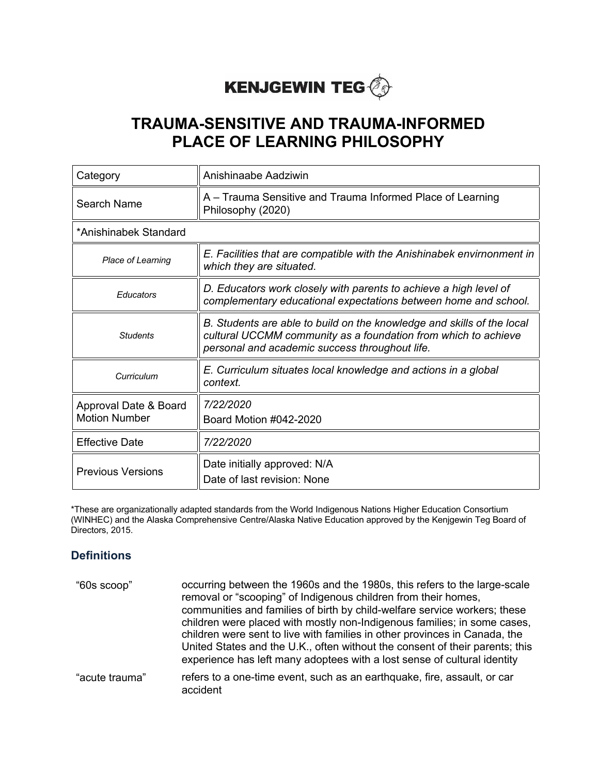# **KENJGEWIN TEG** @

## **TRAUMA-SENSITIVE AND TRAUMA-INFORMED PLACE OF LEARNING PHILOSOPHY**

| Category                                      | Anishinaabe Aadziwin                                                                                                                                                                       |  |
|-----------------------------------------------|--------------------------------------------------------------------------------------------------------------------------------------------------------------------------------------------|--|
| Search Name                                   | A - Trauma Sensitive and Trauma Informed Place of Learning<br>Philosophy (2020)                                                                                                            |  |
| *Anishinabek Standard                         |                                                                                                                                                                                            |  |
| Place of Learning                             | E. Facilities that are compatible with the Anishinabek envirnonment in<br>which they are situated.                                                                                         |  |
| Educators                                     | D. Educators work closely with parents to achieve a high level of<br>complementary educational expectations between home and school.                                                       |  |
| <b>Students</b>                               | B. Students are able to build on the knowledge and skills of the local<br>cultural UCCMM community as a foundation from which to achieve<br>personal and academic success throughout life. |  |
| Curriculum                                    | E. Curriculum situates local knowledge and actions in a global<br>context.                                                                                                                 |  |
| Approval Date & Board<br><b>Motion Number</b> | 7/22/2020<br>Board Motion #042-2020                                                                                                                                                        |  |
| <b>Effective Date</b>                         | 7/22/2020                                                                                                                                                                                  |  |
| <b>Previous Versions</b>                      | Date initially approved: N/A<br>Date of last revision: None                                                                                                                                |  |

\*These are organizationally adapted standards from the World Indigenous Nations Higher Education Consortium (WINHEC) and the Alaska Comprehensive Centre/Alaska Native Education approved by the Kenjgewin Teg Board of Directors, 2015.

#### **Definitions**

| "60s scoop"    | occurring between the 1960s and the 1980s, this refers to the large-scale<br>removal or "scooping" of Indigenous children from their homes,<br>communities and families of birth by child-welfare service workers; these<br>children were placed with mostly non-Indigenous families; in some cases,<br>children were sent to live with families in other provinces in Canada, the<br>United States and the U.K., often without the consent of their parents; this<br>experience has left many adoptees with a lost sense of cultural identity |
|----------------|------------------------------------------------------------------------------------------------------------------------------------------------------------------------------------------------------------------------------------------------------------------------------------------------------------------------------------------------------------------------------------------------------------------------------------------------------------------------------------------------------------------------------------------------|
| "acute trauma" | refers to a one-time event, such as an earthquake, fire, assault, or car<br>accident                                                                                                                                                                                                                                                                                                                                                                                                                                                           |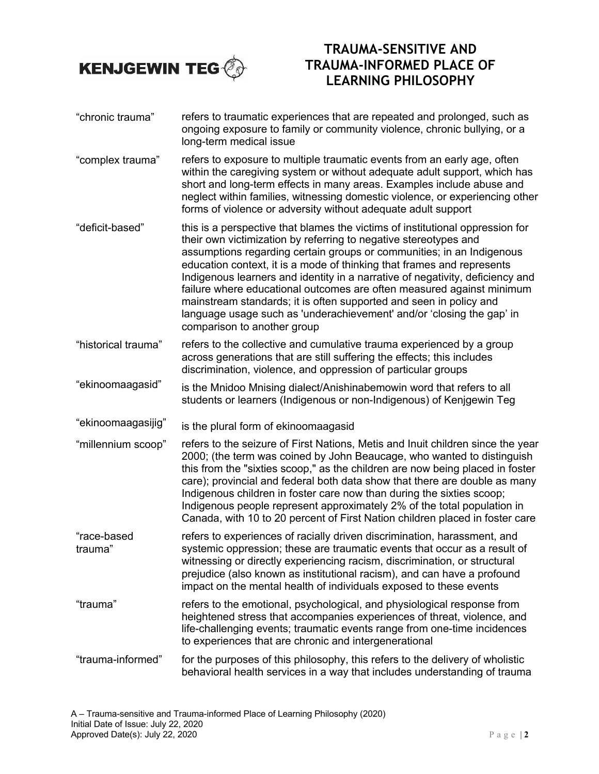

## **TRAUMA-SENSITIVE AND TRAUMA-INFORMED PLACE OF LEARNING PHILOSOPHY**

- "chronic trauma" refers to traumatic experiences that are repeated and prolonged, such as ongoing exposure to family or community violence, chronic bullying, or a long-term medical issue
- "complex trauma" refers to exposure to multiple traumatic events from an early age, often within the caregiving system or without adequate adult support, which has short and long-term effects in many areas. Examples include abuse and neglect within families, witnessing domestic violence, or experiencing other forms of violence or adversity without adequate adult support
- "deficit-based" this is a perspective that blames the victims of institutional oppression for their own victimization by referring to negative stereotypes and assumptions regarding certain groups or communities; in an Indigenous education context, it is a mode of thinking that frames and represents Indigenous learners and identity in a narrative of negativity, deficiency and failure where educational outcomes are often measured against minimum mainstream standards; it is often supported and seen in policy and language usage such as 'underachievement' and/or 'closing the gap' in comparison to another group
- "historical trauma" refers to the collective and cumulative trauma experienced by a group across generations that are still suffering the effects; this includes discrimination, violence, and oppression of particular groups
- "ekinoomaagasid" is the Mnidoo Mnising dialect/Anishinabemowin word that refers to all students or learners (Indigenous or non-Indigenous) of Kenjgewin Teg
- "ekinoomaagasijig" is the plural form of ekinoomaagasid
- "millennium scoop" refers to the seizure of First Nations, Metis and Inuit children since the year 2000; (the term was coined by John Beaucage, who wanted to distinguish this from the "sixties scoop," as the children are now being placed in foster care); provincial and federal both data show that there are double as many Indigenous children in foster care now than during the sixties scoop; Indigenous people represent approximately 2% of the total population in Canada, with 10 to 20 percent of First Nation children placed in foster care
- "race-based trauma" refers to experiences of racially driven discrimination, harassment, and systemic oppression; these are traumatic events that occur as a result of witnessing or directly experiencing racism, discrimination, or structural prejudice (also known as institutional racism), and can have a profound impact on the mental health of individuals exposed to these events
- "trauma" refers to the emotional, psychological, and physiological response from heightened stress that accompanies experiences of threat, violence, and life-challenging events; traumatic events range from one-time incidences to experiences that are chronic and intergenerational
- "trauma-informed" for the purposes of this philosophy, this refers to the delivery of wholistic behavioral health services in a way that includes understanding of trauma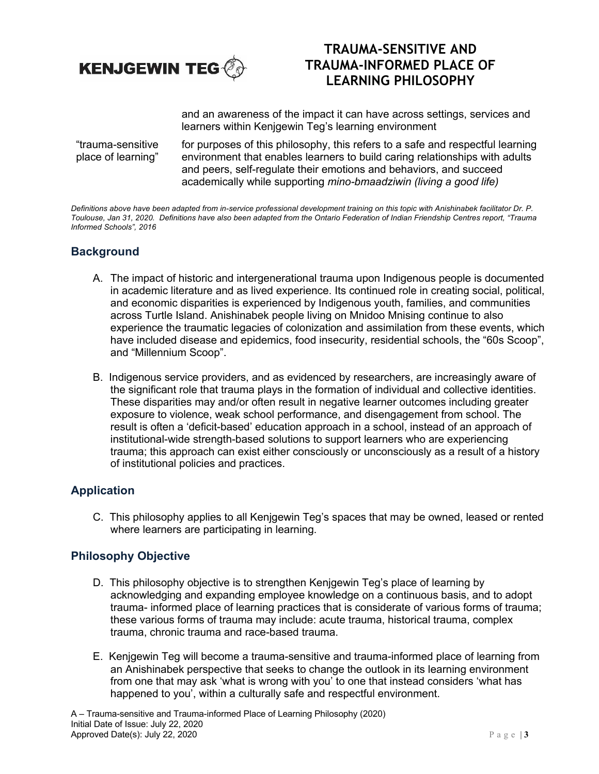

## **TRAUMA-SENSITIVE AND TRAUMA-INFORMED PLACE OF LEARNING PHILOSOPHY**

and an awareness of the impact it can have across settings, services and learners within Kenjgewin Teg's learning environment

"trauma-sensitive place of learning" for purposes of this philosophy, this refers to a safe and respectful learning environment that enables learners to build caring relationships with adults and peers, self-regulate their emotions and behaviors, and succeed academically while supporting *mino-bmaadziwin (living a good life)*

*Definitions above have been adapted from in-service professional development training on this topic with Anishinabek facilitator Dr. P. Toulouse, Jan 31, 2020. Definitions have also been adapted from the Ontario Federation of Indian Friendship Centres report, "Trauma Informed Schools", 2016*

#### **Background**

- A. The impact of historic and intergenerational trauma upon Indigenous people is documented in academic literature and as lived experience. Its continued role in creating social, political, and economic disparities is experienced by Indigenous youth, families, and communities across Turtle Island. Anishinabek people living on Mnidoo Mnising continue to also experience the traumatic legacies of colonization and assimilation from these events, which have included disease and epidemics, food insecurity, residential schools, the "60s Scoop", and "Millennium Scoop".
- B. Indigenous service providers, and as evidenced by researchers, are increasingly aware of the significant role that trauma plays in the formation of individual and collective identities. These disparities may and/or often result in negative learner outcomes including greater exposure to violence, weak school performance, and disengagement from school. The result is often a 'deficit-based' education approach in a school, instead of an approach of institutional-wide strength-based solutions to support learners who are experiencing trauma; this approach can exist either consciously or unconsciously as a result of a history of institutional policies and practices.

#### **Application**

C. This philosophy applies to all Kenjgewin Teg's spaces that may be owned, leased or rented where learners are participating in learning.

#### **Philosophy Objective**

- D. This philosophy objective is to strengthen Kenjgewin Teg's place of learning by acknowledging and expanding employee knowledge on a continuous basis, and to adopt trauma- informed place of learning practices that is considerate of various forms of trauma; these various forms of trauma may include: acute trauma, historical trauma, complex trauma, chronic trauma and race-based trauma.
- E. Kenjgewin Teg will become a trauma-sensitive and trauma-informed place of learning from an Anishinabek perspective that seeks to change the outlook in its learning environment from one that may ask 'what is wrong with you' to one that instead considers 'what has happened to you', within a culturally safe and respectful environment.